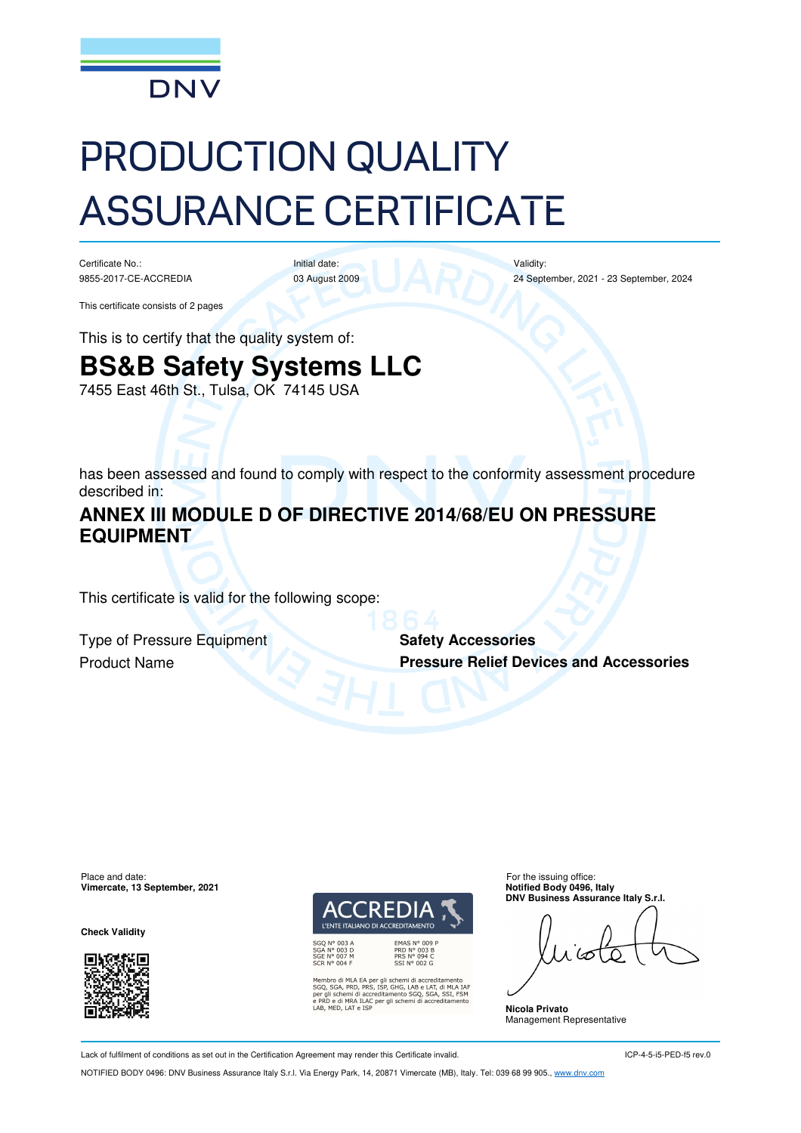

# PRODUCTION QUALITY ASSURANCE CERTIFICATE

Certificate No.: 9855-2017-CE-ACCREDIA Initial date: 03 August 2009

Validity: 24 September, 2021 - 23 September, 2024

This certificate consists of 2 pages

This is to certify that the quality system of:

## **BS&B Safety Systems LLC**

7455 East 46th St., Tulsa, OK 74145 USA

has been assessed and found to comply with respect to the conformity assessment procedure described in:

### **ANNEX III MODULE D OF DIRECTIVE 2014/68/EU ON PRESSURE EQUIPMENT**

This certificate is valid for the following scope:

**Type of Pressure Equipment Safety Accessories** 

Product Name **Pressure Relief Devices and Accessories**

Place and date:<br> **Place and date:** For the issuing office:<br> **Place and date:** For the issuing office:<br> **Place and date:** For the issuing office: **Vimercate, 13 September, 2021** 

**Check Validity** 





EA per gli schemi di accreditamento<br>, PRS, ISP, GHG, LAB e LAT, di MLA IAF<br>li accreditamento SGQ, SGA, SSI, FSM<br>ILAC per gli schemi di accreditamento D e di MRA ILAC per gli<br>MED, LAT e ISP

**DNV Business Assurance Italy S.r.l.** 

**Nicola Privato**  Management Representative

Lack of fulfilment of conditions as set out in the Certification Agreement may render this Certificate invalid.

NOTIFIED BODY 0496: DNV Business Assurance Italy S.r.l. Via Energy Park, 14, 20871 Vimercate (MB), Italy. Tel: 039 68 99 905., www.dnv.com

ICP-4-5-i5-PED-f5 rev.0